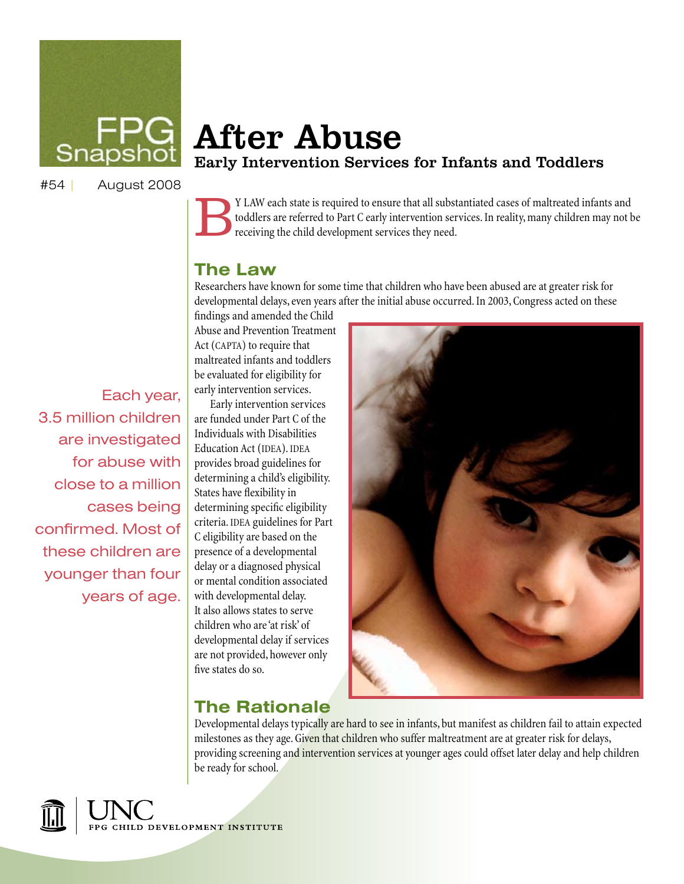

# After Abuse Early Intervention Services for Infants and Toddlers

#54 | August 2008

I By I LAW each state is required to ensure that all substantiated cases of maltreated infants and toddlers are referred to Part C early intervention services. In reality, many children may not be receiving the child devel toddlers are referred to Part C early intervention services. In reality, many children may not be receiving the child development services they need.

#### **The Law**

Researchers have known for some time that children who have been abused are at greater risk for developmental delays, even years after the initial abuse occurred. In 2003, Congress acted on these

findings and amended the Child Abuse and Prevention Treatment Act (CAPTA) to require that maltreated infants and toddlers be evaluated for eligibility for early intervention services.

Early intervention services are funded under Part C of the Individuals with Disabilities Education Act (IDEA). IDEA provides broad guidelines for determining a child's eligibility. States have flexibility in determining specific eligibility criteria. IDEA guidelines for Part C eligibility are based on the presence of a developmental delay or a diagnosed physical or mental condition associated with developmental delay. It also allows states to serve children who are 'at risk' of developmental delay if services are not provided, however only



#### **The Rationale**

five states do so.

Developmental delays typically are hard to see in infants, but manifest as children fail to attain expected milestones as they age. Given that children who suffer maltreatment are at greater risk for delays, providing screening and intervention services at younger ages could offset later delay and help children be ready for school.



Each year, 3.5 million children are investigated for abuse with close to a million cases being confirmed. Most of these children are younger than four years of age.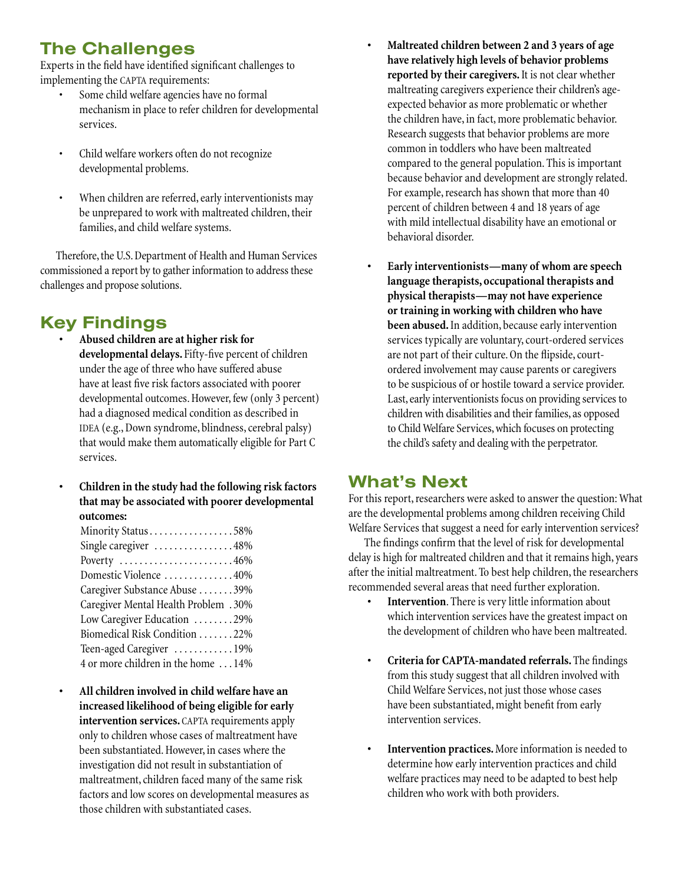## **The Challenges**

Experts in the field have identified significant challenges to implementing the CAPTA requirements:

- Some child welfare agencies have no formal mechanism in place to refer children for developmental services.
- Child welfare workers often do not recognize developmental problems.
- When children are referred, early interventionists may be unprepared to work with maltreated children, their families, and child welfare systems.

Therefore, the U.S. Department of Health and Human Services commissioned a report by to gather information to address these challenges and propose solutions.

### **Key Findings**

- **• Abused children are at higher risk for developmental delays.** Fifty-five percent of children under the age of three who have suffered abuse have at least five risk factors associated with poorer developmental outcomes. However, few (only 3 percent) had a diagnosed medical condition as described in IDEA (e.g., Down syndrome, blindness, cerebral palsy) that would make them automatically eligible for Part C services.
- **• Children in the study had the following risk factors that may be associated with poorer developmental outcomes:**

| Minority Status58%                                |
|---------------------------------------------------|
| Single caregiver 48%                              |
| Poverty $\dots\dots\dots\dots\dots\dots\dots46\%$ |
| Domestic Violence 40%                             |
| Caregiver Substance Abuse 39%                     |
| Caregiver Mental Health Problem .30%              |
| Low Caregiver Education 29%                       |
| Biomedical Risk Condition 22%                     |
| Teen-aged Caregiver 19%                           |
| 4 or more children in the home  14%               |

**• All children involved in child welfare have an increased likelihood of being eligible for early intervention services.** CAPTA requirements apply only to children whose cases of maltreatment have been substantiated. However, in cases where the investigation did not result in substantiation of maltreatment, children faced many of the same risk factors and low scores on developmental measures as those children with substantiated cases.

- **• Maltreated children between 2 and 3 years of age have relatively high levels of behavior problems reported by their caregivers.** It is not clear whether maltreating caregivers experience their children's ageexpected behavior as more problematic or whether the children have, in fact, more problematic behavior. Research suggests that behavior problems are more common in toddlers who have been maltreated compared to the general population. This is important because behavior and development are strongly related. For example, research has shown that more than 40 percent of children between 4 and 18 years of age with mild intellectual disability have an emotional or behavioral disorder.
- Early interventionists—many of whom are speech **language therapists, occupational therapists and physical therapists—may not have experience or training in working with children who have been abused.** In addition, because early intervention services typically are voluntary, court-ordered services are not part of their culture. On the flipside, courtordered involvement may cause parents or caregivers to be suspicious of or hostile toward a service provider. Last, early interventionists focus on providing services to children with disabilities and their families, as opposed to Child Welfare Services, which focuses on protecting the child's safety and dealing with the perpetrator.

#### **What's Next**

For this report, researchers were asked to answer the question: What are the developmental problems among children receiving Child Welfare Services that suggest a need for early intervention services?

The findings confirm that the level of risk for developmental delay is high for maltreated children and that it remains high, years after the initial maltreatment. To best help children, the researchers recommended several areas that need further exploration.

- **Intervention**. There is very little information about which intervention services have the greatest impact on the development of children who have been maltreated.
- **• Criteria for CAPTA-mandated referrals.** The findings from this study suggest that all children involved with Child Welfare Services, not just those whose cases have been substantiated, might benefit from early intervention services.
- **• Intervention practices.** More information is needed to determine how early intervention practices and child welfare practices may need to be adapted to best help children who work with both providers.